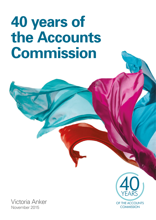# **40 years of the Accounts Commission**

Victoria Anker November 2015



OF THE ACCOUNTS COMMISSION

1

YEARS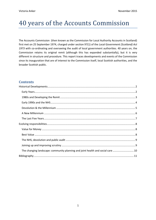# 40 years of the Accounts Commission

The Accounts Commission (then known as the Commission for Local Authority Accounts in Scotland) first met on 25 September 1974, charged under section 97(1) of the *Local Government (Scotland) Act 1973* with co-ordinating and overseeing the audit of local government authorities. 40 years on, the Commission retains its original remit (although this has expanded substantially), but it is very different in structure and procedure. This report traces developments and events of the Commission since its inauguration that are of interest to the Commission itself, local Scottish authorities, and the broader Scottish public.

## **Contents**

| The changing landscape: community planning and joint health and social care  10 |
|---------------------------------------------------------------------------------|
|                                                                                 |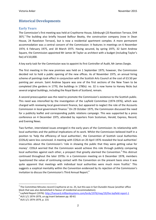# <span id="page-2-0"></span>**Historical Developments**

#### <span id="page-2-1"></span>**Early Years**

The Commission's first meeting was held at Craythorne House, Edinburgh (23 Ravelston Terrace, EH4 3EF). $<sup>1</sup>$  The building also briefly housed Balfour Beatty, the construction company (now in Dean</sup> House, 24 Ravelston Terrace), but is now a residential apartment complex. A more permanent accommodation was a central concern of the Commission: it features in meetings on 6 November 1974, 6 February 1975, and 18 March 1975. Having secured, by spring 1975, 32 Saint Andrew Square, the Commission appointed Mr James W Taylor as architect with a budget (including Taylor's fee) of £10,000.

A key early task for the Commission was to appoint its first Controller of Audit, Mr James Dargie.

The first meeting in the new premises was held on 1 September 1975; however, the Commission decided not to hold a public opening of the new offices. As of November 1975, an annual hiring scheme of paintings took effect in conjunction with the Scottish Arts Council at the cost of £3.50 per painting per annum. Saint Andrew Square was one of the first sections of the New Town to be completed (the gardens in 1770, the buildings in 1780s): no. 32 is now home to Harvey Nicks but several original buildings, including the Royal Bank of Scotland, remain.

A second preoccupation was the need to promote the Commission's existence to the Scottish public. This need was intensified by the investigation of the Layfield Committee (1974-1976), which was charged with reviewing local government finance, but appeared to neglect the role of the Accounts Commission in local government finance.<sup>2</sup> On 29 October 1975, the Commission discussed the need for a publicity leaflet and corresponding public relations campaign. This was supported by a press conference on 4 December 1975, attended by reporters from Scotsman, Herald, Express, Record, and Evening News.

Two further, interrelated issues emerged in the early years of the Commission: its relationship with local authorities and the political implications of its work. Whilst the Commission believed itself in a position to 'help the efficiency of local authorities', the Convention of Scottish Local Authorities (COSLA) were less convinced. A meeting with COSLA on 20 April 1976 revealed the local authorities' insecurities about the Commission's 'role in showing the public that they were getting value for money'. COSLA worried that the Commission would achieve this role through publicly comparing local authorities against each other, a prospect that greatly alarmed the Convention.<sup>3</sup> This distrust continued throughout the later 1970s: in a Commission meeting on 6 December 1978, members 'questioned the value of continuing contact with the Convention on the present basis since it was quite apparent that meetings with individual local authorities were much more fruitful.' This suggests a sceptical mentality within the Convention evidenced by its rejection of the Commission's invitation to discuss the Commission's Third Annual Report.<sup>4</sup>

 $\overline{a}$ 

 $1$  The Committee Minutes record Craythorne at no. 25, but this was in fact Dunedin House (another office block that was also demolished in favour of residential accommodation).

<sup>2</sup> Layfield Report (1976)[: http://hansard.millbanksystems.com/lords/1976/may/19/the-layfield-report-1](http://hansard.millbanksystems.com/lords/1976/may/19/the-layfield-report-1)

 $3$  AUS 1/1 1974-1979, un-pg insert between pp. 60-61

<sup>4</sup> AUS 1/1 1974-1979, p. 131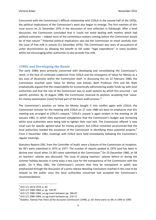Concurrent with the Commission's difficult relationship with COSLA in the second half of the 1970s, the political implications of the Commission's work also began to emerge. The first mention of this issue occurs on 21 December 1976 in the discussion of rent collection in Edinburgh. After a brief discussion, the Commission concluded that it 'could not avoid dealing with matters which had political overtones – indeed most of the contentious matters coming before the Commission would be of that nature'.<sup>5</sup> Potential political implications also led the Commission to tread carefully over the issue of free milk in schools (21 December 1976). The Commission was wary of accusations of unfair discrimination by allowing the benefit to fall under "legal expenditure" in some localities whilst not encouraging other authorities to also provide free milk.

#### <span id="page-3-0"></span>**1980s and Developing the Remit**

The early 1980s were primarily concerned with developing and consolidating the Commission's remit, in the face of continued scepticism from COSLA and the emergence of Value for Money as a key area of dissension within the Commission itself. In discussing this on 22 February 1980, the Commission touched upon Value for Money (see below). Both Professor Flint and Mr Watt emphatically argued that the responsibility for economically administering public funds lay with local authorities and that the role of the Commission was to audit systems by which this occurred – not specific activities. By 19 August 1980, the Commission reversed its position, accepting that 'valuefor-money examination [now] formed part of the basic audit process.'<sup>6</sup>

The Commission's position on Value for Money bought it into conflict again with COSLA; the Commission minutes for the meeting with COSLA on 17 June 1980 are keen to emphasise that this meeting was arranged at COSLA's request.<sup>7</sup> COSLA's unease is again evident in the meeting on 28 January 1981, in which they expressed unhappiness that the Commission's budget was increasing whilst local authorities were being told to tighten their own belt. The Commission offered 'a new small sum for specific agreed value for money projects' but COSLA remained unconvinced that the local authorities needed the assistance of the Commission in identifying these potential projects.<sup>8</sup> From 2 December 1982, meetings with COSLA were held immediately following the Committee's regular meetings.

Statutory Reports (SR), from the Controller of Audit, were a feature of the Commission at inception. No SR's were submitted in 1975 or 1977. The number of reports peaked in 1979 (and has been in decline ever since) when 13 SR's were submitted to the Commission.<sup>9</sup> On 23 December 1980, an SR on teachers' salaries was discussed. The issue of paying teachers' salaries before or during the summer holiday became in some ways a test case for the transparency of the Commission with the public. On 5 May 1981, the Commission's concern that they be transparent in public was emphasised through the discussion of a press release detailing conclusions reached in this case to be relayed to the public once the local authorities concerned had accepted the Commission's recommendations.

 $\overline{a}$ 

<sup>&</sup>lt;sup>5</sup> AUS 1/1 1974-1979, p. 83

<sup>6</sup> AUS 1/2 1980-1984, p. pp. 194-95

 $<sup>7</sup>$  AUS 1/2 1980-1984, un-pg insert between pp. 186-87</sup>

 $8$  AUS 1/2 1980-1984, un-pg insert between pp. 210-11

<sup>&</sup>lt;sup>9</sup> Rodden, *Twenty-Five Years of the Accounts Commission* (1999), p. 20: there were no SRs in 1994 or 1995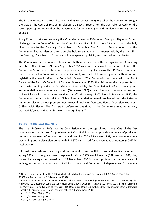The first SR to result in a court hearing (held 13 December 1982) was when the Commission sought the view of the Court of Session in relation to a special report from the Controller of Audit on the rate support grant provided by the Government for Lothian Region and Dundee and Stirling District councils.

A significant court case involving the Commission was in 1994 when Grampian Regional Council challenged in the Court of Session the Commission's 1991 findings on a SR that it had unlawfully given money to the Campaign for a Scottish Assembly. The Court of Session ruled that the Commission had not demonstrated, despite holding an inquiry, that money paid by the Council to the Campaign for a Scottish Assembly had been spent on publicity and thus making it unlawful.

The Commission also developed its relations both within and outwith the organisation. A meeting with Mr J Allan Stewart MP on 2 September 1982 was only the second ministerial visit since the Commission's formation; these meetings became more regular across the 1980s and were an opportunity for the Commission to discuss its remit, encroach of its remit by other authorities, and legislation that would affect the Commission's work.<sup>10</sup> The Commission also met with the Audit Bureau of the People's Republic of China on 6 November 1986; the visitors received a presentation on Scottish audit practice by Mr McLellan. Meanwhile, the Commission itself was growing and accommodation again became a concern (30 January 1980) with additional accommodation secured in East Kilbride for the Hamilton section of staff (31 January 1985). From 3 September 1987, the Commission met at the Royal Scots Club and accommodation proved problematic into the 1990s as numerous bids on various premises were rejected (including Dunstane House, Greenside House and 5 Shandwick Place).<sup>11</sup> The first staff conference, described in the Committee minutes as 'very worthwhile', was held at Dunblane on 13-14 April 1983.<sup>12</sup>

#### <span id="page-4-0"></span>**Early 1990s and the NHS**

The late 1980s-early 1990s saw the Commission enter the age of technology. One of the first computers was authorised for purchase on 5 May 1983 in order 'to provide the means of producing better management information for the audit service'.<sup>13</sup> On 8 February 1989, computer equipment was an important discussion point, with £13,670 earmarked for replacement computers (COMPAQ Deskpro 386s).

Informal conversations concerning audit responsibility over the NHS in Scotland are first recorded in spring 1989, but the government response in winter 1989 was lukewarm (8 November 1989). Key issues that emerged in discussion on 15 December 1993 included 'professional matters, scale of activity, resources required, areas of clinical activity, and Commission independence.<sup>'14</sup> It was not

 $^{10}$  Other ministerial visits in the 1980s include Mr Michael Ancram (3 December 1983, 3 May 1984, 5 June 1986) and Mr Ian Lang MP (3 December 1987)

<sup>&</sup>lt;sup>11</sup> Alternative locations between 1987-1995 Included Merchant's Hall (5 November 1987, 10 July 1989), the New Club (12 December 1990, 11 September 1991), Royal Over-Seas League (10 June 1992), 1 Atholl Crescent (19 May 1993), Royal College of Physicians (15 December 1993), 23 Walker Street (12 January 1994), Balmoral Hotel (11 February 1994), Grant Thornton offices (14 September 1994).

<sup>12</sup> AUS 1/2 1980-1984, p. 289

<sup>13</sup> AUS 1/2 1980-1984, p. 287

<sup>14</sup> AUS 1/4 1990-1994, pp. 922-23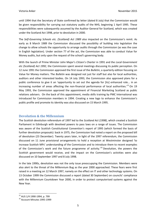until 1994 that the Secretary of State confirmed by letter (dated 8 July) that the Commission would be given responsibility for carrying out statutory audits of the NHS, beginning 1 April 1995. These responsibilities were subsequently assumed by the Auditor General for Scotland, which was created under the Scotland Act 1998, prior to devolution in 2000.

The *Self-Governing Schools etc. (Scotland) Act 1989* also impacted on the Commission's remit. As early as 8 March 1989 the Commission discussed the possibility of building into legislation the change to allow schools the opportunity to arrange audits through the Commission (as was the case in English legislation). Under section 77 of the act, the Commission was able to conduct Value for Money audits, but only upon the request of the school's governing body.

With the launch of Prime Minister John Major's *Citizen's Charter* in 1991 and the *Local Government etc (Scotland) Act 1992*, the Commission spent several meetings discussing its public perception. On 12 June 1991 the Commission approved the first issue of the *Bulletin*, a quarterly edition focusing on Value for Money matters. The *Bulletin* was designed not just for staff but also for local authorities, auditors and other interested bodies. On 14 July 1993, the Commission also approved plans for a public conference to give it an 'opportunity to set out the agenda for [its] enhanced role... in an increasing number of areas affecting the non-financial performance of local authorities.<sup>15</sup> On 19 May 1993, the Commission approved the appointment of Financial Marketing Scotland as public relations advisers. On the back of this appointment, media skills training by PMC International was introduced for Commission members in 1994. Creating a new logo to enhance the Commission's public profile and promote its identity was also discussed on 15 March 1995.

### <span id="page-5-0"></span>**Devolution & the Millennium**

The Scottish devolution referendum of 1997 led to the *Scotland Act (1998)*, which created a Scottish Parliament in Edinburgh with devolved powers to pass laws on a range of issues. The Commission was aware of the Scottish Constitutional Convention's report of 1995 (which formed the basis of further devolution proposals): back in 1975, the Commission had noted a report on the proposed bill of devolution (23 December). Twenty years later, in light of the 1997 referendum, the Commission discussed on 11 June provisional arrangements to hold a reception at Westminster designed 'to increase Scottish MPs' understanding of the Commission and to introduce them to recent examples of the Commission's work and the future programme of activity.<sup>16</sup> Devolution, the powers the Scottish government would receive, and the impact on the Commission's activities were also discussed on 10 September 1997 and 8 July 1998.

In the late 1990s, devolution was not the only issue preoccupying the Commission. Members were also alert to the threat of the Millennium Bug as the year 2000 approached. These fears were first raised in a meeting on 12 March 1997, namely on the effect on IT and other technology systems. On 13 October 1999 the Commission discussed a report (dated 30 September) on councils' compliance with the Millennium Countdown Year 2000, in order to protect computerised systems against the New Year.

<sup>15</sup> AUS 1/4 1990-1994, p. 799

<sup>16</sup> Account Minutes 1995-1999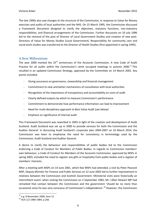The late 1990s also saw changes to the structure of the Commission, in response to Value for Money exercises and audits of local authorities and the NHS. On 15 March 1995, the Commission discussed a Framework Document designed to clarify the objectives, statutory functions, non-statutory responsibilities, and financial arrangements of the Commission. Further discussion on 10 July 1996 led to the removal of the post of Director of Local Government Studies and creation of new post: Directory of Value for Money Studies (Local Government). Responsibility for community care and social work studies was transferred to the Director of Health Studies (first appointed in spring 1995).

#### <span id="page-6-0"></span>**A New Millennium**

The year 2000 marked the  $25<sup>th</sup>$  anniversary of the Accounts Commission. A new Code of Audit Practice for all audits within the Commission's remit occupied meetings in autumn 2000.<sup>17</sup> This resulted in an updated Commission Strategy, approved by the Committee on 14 March 2001. Key points included:

- Giving assurance on governance, stewardship and financial management
- Commitment to new and better mechanisms of consultation with local authorities
- Recognition of the importance of transparency and accountability on costs of audit
- Clearly defined outputs by which to measure Commission's performance
- Commitment to demonstrate how performance information can lead to improvement
- Need for multi-disciplinary approach to Best Value Audit [see below]
- Emphasis on significance of internal audit

This Framework Document was reworked in 2003 in light of the creation and development of Audit Scotland. Audit Scotland was set up in 2000 to provide services for both the Commission and the Auditor General. In discussing Audit Scotland's corporate plan 2004-2007 on 10 March 2014, the Commission was keen to emphasise the need for consistency in terminology used by the Commission, Audit Scotland and Auditor General.

A desire to clarify the behaviour and responsibilities of public bodies led to the Commission endorsing a Code of Conduct for Members of Public Bodies. In regards to Commission members' own behaviour, a Code of Conduct for Members of the Accounts Commission, approved by MSPs in spring 2003, included the need to register any gifts or hospitality from public bodies and a register of members' interests.

After a meeting with MSPs on 14 June 2001, which few MSPs had attended, a visit by Peter Peacock MSP, Deputy Minister for Finance and Public Services on 12 June 2002 led to further improvement in relations between the Commission and Scottish Government. Ministerial visits were historically an intermittent event: when visiting the Commission on 2 September 1982, Mr J Allan Stewart MP had remarked that contact between the Commission and the government 'should be no more than occasional since he was very conscious of Commission's independence'.<sup>18</sup> However, the Commission

<sup>1</sup>  $17$  e.g. 8 November 2000, item 12

<sup>18</sup> AUS 1/2 1980-1984, p.266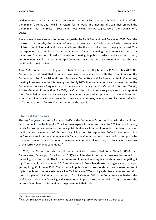evidently felt that as a result of devolution, MSPs lacked a thorough understanding of the Commission's remit and held little regard for its work. The meeting of 2002 thus assured the Commission that the Scottish Government was willing to take cognisance of the Commission's advice.

A media event was also held for interested parties by Audit Scotland on 4 December 2001. Over the course of the decade, the number of events or meetings the Chair attended with government ministers, Audit Scotland, and local councils and the fire and police boards hugely increased. This corresponded with an increase in the number of media meetings and interviews the Chair undertook. The prospect of holding Commission meetings in public in order to enhance transparency and openness was first aired on 15 April 2009 but it was not until 14 October 2010 that this was confirmed to begin in 2011.

As of 2000, Commission meetings ceased to be held on a monthly basis. On 11 September 2002, the Commission confirmed that it would meet every second month with the committees of the Commission (the Financial Audit and Assurance Committee and Performance Audit Committee) meeting if necessary in the intervening months. By 2005, brief summaries by various members of the Commission became a frequent item on the agenda, including the 'Chair's Introduction' and 'Deputy Auditor General's Introduction'. By 2008, the Controller of Audit was also giving a summary report at most Commission meetings. Increasingly, the minutes appeared as updates on sub-committees and summaries of actions to be taken within these sub-committees, as emphasised by the introduction of '*Action – action to be taken*' against items on the agenda.

#### <span id="page-7-0"></span>**The Last Five Years**

The last five years has seen a focus on clarifying the Commission's position both with the public and with the public bodies it audits. This has been especially important since the 2008 economic crash, which focused public attention on how public bodies such as local councils have been spending public money. Awareness of this was highlighted on 16 September 2009 in discussion of a performance audit on the Commonwealth Games the Commission was concerned that emphasis be placed on 'the importance of contract management and the related risks, particularly in the context of the current economic conditions.'<sup>19</sup>

In 2010, the Commission also introduced a publication series titled, *How Councils Work*: *An Improvement Series for Councillors and Officers*, intended to act as a resource for councils in improving how they work. The first in the series 'Roles and working relationships: are you getting it right?' was published in summer 2010 and the second 'Arm's length external organisations: are you getting it right?' in June 2011. The increase in publications corresponds with an increase in use of digital media such as podcasts, as well as TV interviews.<sup>20</sup> Technology also became more central to the management of Commission business. On 18 October 2012, the Committee emphasised the usefulness of video-conferencing and agreed to put in place a secure portal (in 2013) to improve the access of members to information to help them fulfil their role.

<sup>&</sup>lt;sup>19</sup> Account Minutes 2008-2015

<sup>20</sup> e.g. Chairman John Baillie's interview on the *Commissioning Social Care* report on 1 March 2012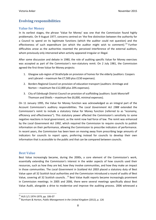# <span id="page-8-0"></span>**Evolving responsibilities**

#### <span id="page-8-1"></span>**Value for Money**

In its earliest stages, the phrase 'Value for Money' was one that the Commission found highly problematic. On 9 August 1977, concerns centred on 'the fine distinction between the authority for a Council to spend on its legitimate functions (which the auditor could not question) and the effectiveness of such expenditure (on which the auditor might wish to comment).<sup>'21</sup> Further difficulties arose as the authorities resented the perceived interference of the external auditors, whom previously only intervened when activity appeared irregular or illegal.

After some discussion and debate in 1980, the role of auditing specific Value for Money exercises was accepted as part of the Commission's non-statutory remit. On 2 July 1981, the Commission agreed the first three Value for Money projects:

- 1. Glasgow sub-region of Strathclyde on provision of homes for the elderly (auditors: Coopers and Lybrand – maximum fee £7,500 plus £150 expenses).
- 2. Borders Regional Council on provision of education transport (auditors: Armitage and Norton – maximum fee £12,000 plus 20% expenses).
- 3. City of Edinburgh District Council on provision of scaffolding (auditors: Scott Moncrieff Thomson and Shiells – maximum fee £6,000, minimal expenses).

On 11 January 1995, the Value for Money function was acknowledged as an integral part of the Account Commission's auditory responsibilities. The *Local Government Act 1988* extended the Commission's remit to include a statutory Value for Money function (referred to as "economy, efficiency and effectiveness"). This statutory power affected the Commission's sensitivity to some negative reactions in local government, as the remit now had force of law. The remit was enhanced by the *Local Government Act 1992*, which required the Commission to require councils to publish information on their performance, allowing the Commission to prescribe indicators of performance. In recent years, the Commission has been keen on moving away from prescribing large amounts of indicators for councils to report upon, preferring instead for councils to develop their own information that is accessible to the public and that can be compared between councils.

#### <span id="page-8-2"></span>**Best Value**

1

Best Value increasingly became, during the 2000s, a core element of the Commission's work, essentially extending the Commission's interest in the wider aspects of how councils used their resources, such as how they are led, how they involve communities, and how they make an impact in those communities. The *Local Government in Scotland Act 2003* placed a statutory duty of Best Value upon all 32 Scottish local authorities and the Commission introduced a round of audits of Best Value, covering all 32 Scottish councils. .<sup>22</sup> Best Value Audit reports became increasingly prominent in Commission meetings. In 2005 and 2006, there were several meetings specifically about Best Value Audit, alongside a drive to modernise and improve the auditing process. 2006 witnessed a

<sup>&</sup>lt;sup>21</sup> AUS 1/1 1974-1979, pp. 106-07

<sup>22</sup> Burnham & Horton, *Public Management in the United Kingdom* (2012), p. 126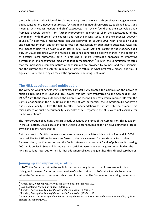thorough review and revision of Best Value Audit process involving a three-phase strategy involving public consultation, independent review (by Cardiff and Edinburgh Universities, published 2007), and meetings with council leaders and chief executives. The review found that the Best Value audit framework would benefit from further improvement in order to align the expectations of the Commission with those of the councils and remove inconsistency in the experiences between councils.<sup>23</sup> A Best Value Improvement Plan was approved on 18 June 2008, with a focus on public and customer interest, and an increased focus on measurable or quantifiable outcomes. Assessing the impact of Best Value Audit a year later in 2009, Audit Scotland suggested the statutory audit duty (of 2003) combined with the revised process had generated a positive change in the operation of Scottish local authorities both in enforcing a 'more systematic approach to improving performance' and encouraging 'medium to long-term planning.<sup>24</sup> In 2014, the Commission reflected that the increasingly complex nature of how services are provided by councils and their partners, and the current age of austerity, required a further rethink in what Best Value means, and thus it signalled its intention to again review the approach to auditing Best Value.

#### <span id="page-9-0"></span>**The NHS, devolution and public audit**

The *National Health Service and Community Care Act 1990* granted the Commission the power to audit all NHS bodies in Scotland. This power was not fully transferred to the Commission until 1995.<sup>25</sup> As with the local authorities, the Commission received and reviewed numerous SRs from the Controller of Audit on the NHS. Unlike in the case of local authorities, the Commission did not have a quasi-judicial ability to take the NHS to offer recommendations to the Scottish Government. This raised issues of public accountability, especially as SRs regarding the NHS were not available for public inspection.<sup>26</sup>

The incorporation of auditing the NHS greatly expanded the remit of the Commission. This is evident in the 11 February 1998 discussion of the Ovarian Cancer Services Report on developing the process by which patients were treated.

But the advent of Scottish devolution required a new approach to public audit in Scotland. In 2000, responsibility for NHS audits was transferred to the newly created Auditor General for Scotland. Between them, the Commission and the Auditor General now account for all of public audit covering 200 public bodies in Scotland, including the Scottish Government, central government bodies, the NHS in Scotland, local authorities, further education colleges, and joint health and social care boards.

#### <span id="page-9-1"></span>**Joining up and improving scrutiny**

In 2007, the Crerar report on the audit, inspection and regulation of public services in Scotland highlighted the need for better co-ordination of such scrutiny.<sup>27</sup> In 2008, the Scottish Government asked the Commission to assume such a co-ordinating role. The Commission now brings together a

<sup>23</sup> Grace, et al, *Independent review of the Best Value Audit process* (2007)

<sup>24</sup> Audit Scotland, *Making an Impact* (2009), p. 5

<sup>&</sup>lt;sup>25</sup> Rodden, *Twenty-Five Years of the Accounts Commission* (1999), p. 7

<sup>26</sup> Rodden, *Twenty-Five Years of the Accounts Commission* (1999), p. 19

<sup>27</sup> Crerar, *Report of the Independent Review of Regulation, Audit, Inspection and Complaints Handling of Public Services in Scotland* (2007)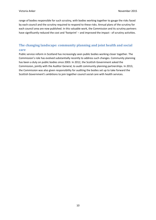range of bodies responsible for such scrutiny, with bodies working together to gauge the risks faced by each council and the scrutiny required to respond to these risks. Annual plans of the scrutiny for each council area are now published. In this valuable work, the Commission and its scrutiny partners have significantly reduced the cost and 'footprint' – and improved the impact - of scrutiny activities.

## <span id="page-10-0"></span>**The changing landscape: community planning and joint health and social care**

Public service reform in Scotland has increasingly seen public bodies working closer together. The Commission's role has evolved substantially recently to address such changes. Community planning has been a duty on public bodies since 2003. In 2012, the Scottish Government asked the Commission, jointly with the Auditor General, to audit community planning partnerships. In 2013, the Commission was also given responsibility for auditing the bodies set up to take forward the Scottish Government's ambitions to join together council social care with health services.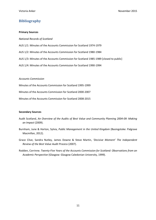## <span id="page-11-0"></span>**Bibliography**

#### **Primary Sources**

*National Records of Scotland*

- AUS 1/1: Minutes of the Accounts Commission for Scotland 1974-1979
- AUS 1/2: Minutes of the Accounts Commission for Scotland 1980-1984
- AUS 1/3: Minutes of the Accounts Commission for Scotland 1985-1989 [closed to public]
- AUS 1/4: Minutes of the Accounts Commission for Scotland 1990-1994

#### *Accounts Commission*

Minutes of the Accounts Commission for Scotland 1995-1999

Minutes of the Accounts Commission for Scotland 2000-2007

Minutes of the Accounts Commission for Scotland 2008-2015

#### **Secondary Sources**

- Audit Scotland, *An Overview of the Audits of Best Value and Community Planning 2004-09: Making an Impact* (2009).
- Burnham, June & Horton, Sylvia, *Public Management in the United Kingdom* (Basingstoke: Palgrave Macmillan, 2012).
- Grace Clive, Sandra Nutley, James Downe & Steve Martin, *'Decisive Moment' The Independent Review of the Best Value Audit Process* (2007).
- Rodden, Corrinne. *Twenty-Five Years of the Accounts Commission for Scotland: Observations from an Academic Perspective* (Glasgow: Glasgow Caledonian University, 1999).